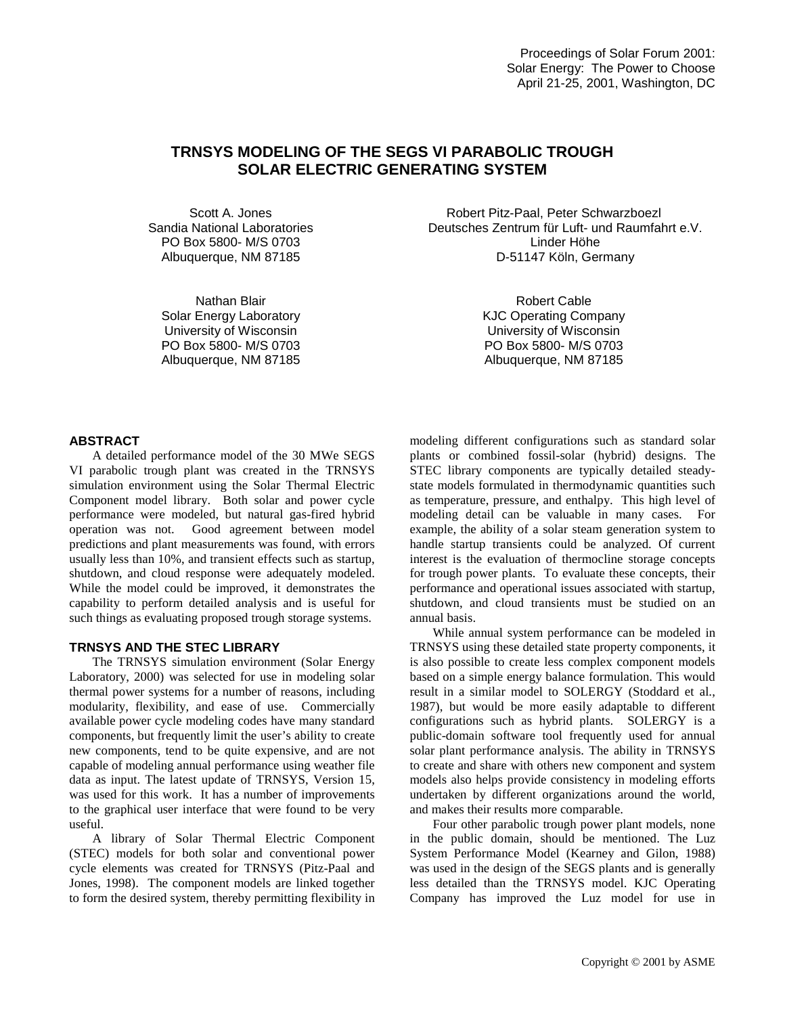# **TRNSYS MODELING OF THE SEGS VI PARABOLIC TROUGH SOLAR ELECTRIC GENERATING SYSTEM**

Scott A. Jones Sandia National Laboratories PO Box 5800- M/S 0703 Albuquerque, NM 87185

Nathan Blair Solar Energy Laboratory University of Wisconsin PO Box 5800- M/S 0703 Albuquerque, NM 87185

Robert Pitz-Paal, Peter Schwarzboezl Deutsches Zentrum für Luft- und Raumfahrt e.V. Linder Höhe D-51147 Köln, Germany

> Robert Cable KJC Operating Company University of Wisconsin PO Box 5800- M/S 0703 Albuquerque, NM 87185

# **ABSTRACT**

A detailed performance model of the 30 MWe SEGS VI parabolic trough plant was created in the TRNSYS simulation environment using the Solar Thermal Electric Component model library. Both solar and power cycle performance were modeled, but natural gas-fired hybrid operation was not. Good agreement between model predictions and plant measurements was found, with errors usually less than 10%, and transient effects such as startup, shutdown, and cloud response were adequately modeled. While the model could be improved, it demonstrates the capability to perform detailed analysis and is useful for such things as evaluating proposed trough storage systems.

## **TRNSYS AND THE STEC LIBRARY**

The TRNSYS simulation environment (Solar Energy Laboratory, 2000) was selected for use in modeling solar thermal power systems for a number of reasons, including modularity, flexibility, and ease of use. Commercially available power cycle modeling codes have many standard components, but frequently limit the user's ability to create new components, tend to be quite expensive, and are not capable of modeling annual performance using weather file data as input. The latest update of TRNSYS, Version 15, was used for this work. It has a number of improvements to the graphical user interface that were found to be very useful.

A library of Solar Thermal Electric Component (STEC) models for both solar and conventional power cycle elements was created for TRNSYS (Pitz-Paal and Jones, 1998). The component models are linked together to form the desired system, thereby permitting flexibility in

modeling different configurations such as standard solar plants or combined fossil-solar (hybrid) designs. The STEC library components are typically detailed steadystate models formulated in thermodynamic quantities such as temperature, pressure, and enthalpy. This high level of modeling detail can be valuable in many cases. For example, the ability of a solar steam generation system to handle startup transients could be analyzed. Of current interest is the evaluation of thermocline storage concepts for trough power plants. To evaluate these concepts, their performance and operational issues associated with startup, shutdown, and cloud transients must be studied on an annual basis.

While annual system performance can be modeled in TRNSYS using these detailed state property components, it is also possible to create less complex component models based on a simple energy balance formulation. This would result in a similar model to SOLERGY (Stoddard et al., 1987), but would be more easily adaptable to different configurations such as hybrid plants. SOLERGY is a public-domain software tool frequently used for annual solar plant performance analysis. The ability in TRNSYS to create and share with others new component and system models also helps provide consistency in modeling efforts undertaken by different organizations around the world, and makes their results more comparable.

Four other parabolic trough power plant models, none in the public domain, should be mentioned. The Luz System Performance Model (Kearney and Gilon, 1988) was used in the design of the SEGS plants and is generally less detailed than the TRNSYS model. KJC Operating Company has improved the Luz model for use in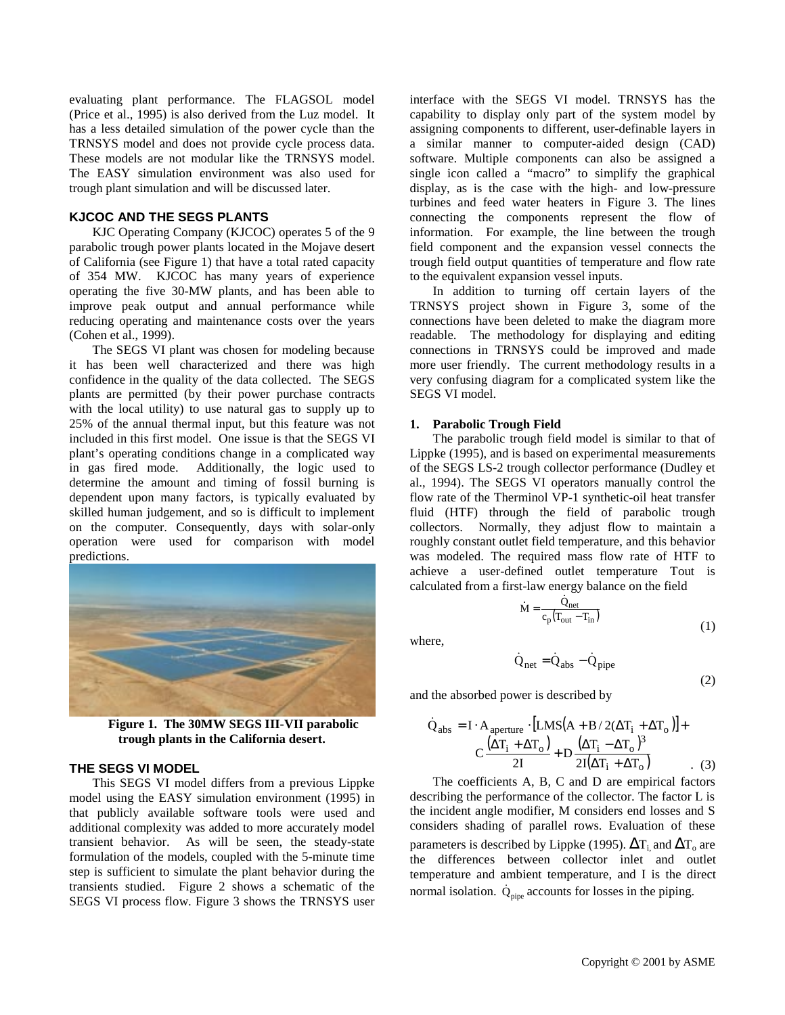evaluating plant performance. The FLAGSOL model (Price et al., 1995) is also derived from the Luz model. It has a less detailed simulation of the power cycle than the TRNSYS model and does not provide cycle process data. These models are not modular like the TRNSYS model. The EASY simulation environment was also used for trough plant simulation and will be discussed later.

## **KJCOC AND THE SEGS PLANTS**

KJC Operating Company (KJCOC) operates 5 of the 9 parabolic trough power plants located in the Mojave desert of California (see Figure 1) that have a total rated capacity of 354 MW. KJCOC has many years of experience operating the five 30-MW plants, and has been able to improve peak output and annual performance while reducing operating and maintenance costs over the years (Cohen et al., 1999).

The SEGS VI plant was chosen for modeling because it has been well characterized and there was high confidence in the quality of the data collected. The SEGS plants are permitted (by their power purchase contracts with the local utility) to use natural gas to supply up to 25% of the annual thermal input, but this feature was not included in this first model. One issue is that the SEGS VI plant's operating conditions change in a complicated way in gas fired mode. Additionally, the logic used to determine the amount and timing of fossil burning is dependent upon many factors, is typically evaluated by skilled human judgement, and so is difficult to implement on the computer. Consequently, days with solar-only operation were used for comparison with model predictions.



**Figure 1. The 30MW SEGS III-VII parabolic trough plants in the California desert.**

## **THE SEGS VI MODEL**

This SEGS VI model differs from a previous Lippke model using the EASY simulation environment (1995) in that publicly available software tools were used and additional complexity was added to more accurately model transient behavior. As will be seen, the steady-state formulation of the models, coupled with the 5-minute time step is sufficient to simulate the plant behavior during the transients studied. Figure 2 shows a schematic of the SEGS VI process flow. Figure 3 shows the TRNSYS user

interface with the SEGS VI model. TRNSYS has the capability to display only part of the system model by assigning components to different, user-definable layers in a similar manner to computer-aided design (CAD) software. Multiple components can also be assigned a single icon called a "macro" to simplify the graphical display, as is the case with the high- and low-pressure turbines and feed water heaters in Figure 3. The lines connecting the components represent the flow of information. For example, the line between the trough field component and the expansion vessel connects the trough field output quantities of temperature and flow rate to the equivalent expansion vessel inputs.

In addition to turning off certain layers of the TRNSYS project shown in Figure 3, some of the connections have been deleted to make the diagram more readable. The methodology for displaying and editing connections in TRNSYS could be improved and made more user friendly. The current methodology results in a very confusing diagram for a complicated system like the SEGS VI model.

## **1. Parabolic Trough Field**

The parabolic trough field model is similar to that of Lippke (1995), and is based on experimental measurements of the SEGS LS-2 trough collector performance (Dudley et al., 1994). The SEGS VI operators manually control the flow rate of the Therminol VP-1 synthetic-oil heat transfer fluid (HTF) through the field of parabolic trough collectors. Normally, they adjust flow to maintain a roughly constant outlet field temperature, and this behavior was modeled. The required mass flow rate of HTF to achieve a user-defined outlet temperature Tout is calculated from a first-law energy balance on the field et field tempe<br>
equired mass<br>
ined outlet<br>
t-law energy l<br>
M =  $\frac{Q_{net}}{C_p(T_{out}-T_s)}$ 

where,

$$
\dot{Q}_{net} = \dot{Q}_{abs} - \dot{Q}_{pipe}
$$

(1)

(2)

and the absorbed power is described by

$$
\dot{Q}_{\text{abs}} = I \cdot A_{\text{aperture}} \cdot [LMS(A + B/2(\Delta T_i + \Delta T_o))] +
$$

$$
C \frac{(\Delta T_i + \Delta T_o)}{2I} + D \frac{(\Delta T_i - \Delta T_o)^3}{2I(\Delta T_i + \Delta T_o)}
$$
(3)

 $_{\rm p}({\rm T_{out}}-{\rm T_{in}})$ net

The coefficients A, B, C and D are empirical factors describing the performance of the collector. The factor L is the incident angle modifier, M considers end losses and S considers shading of parallel rows. Evaluation of these parameters is described by Lippke (1995).  $\Delta T_i$  and  $\Delta T_o$  are the differences between collector inlet and outlet temperature and ambient temperature, and I is the direct normal isolation.  $\dot{Q}_{pipe}$  accounts for losses in the piping.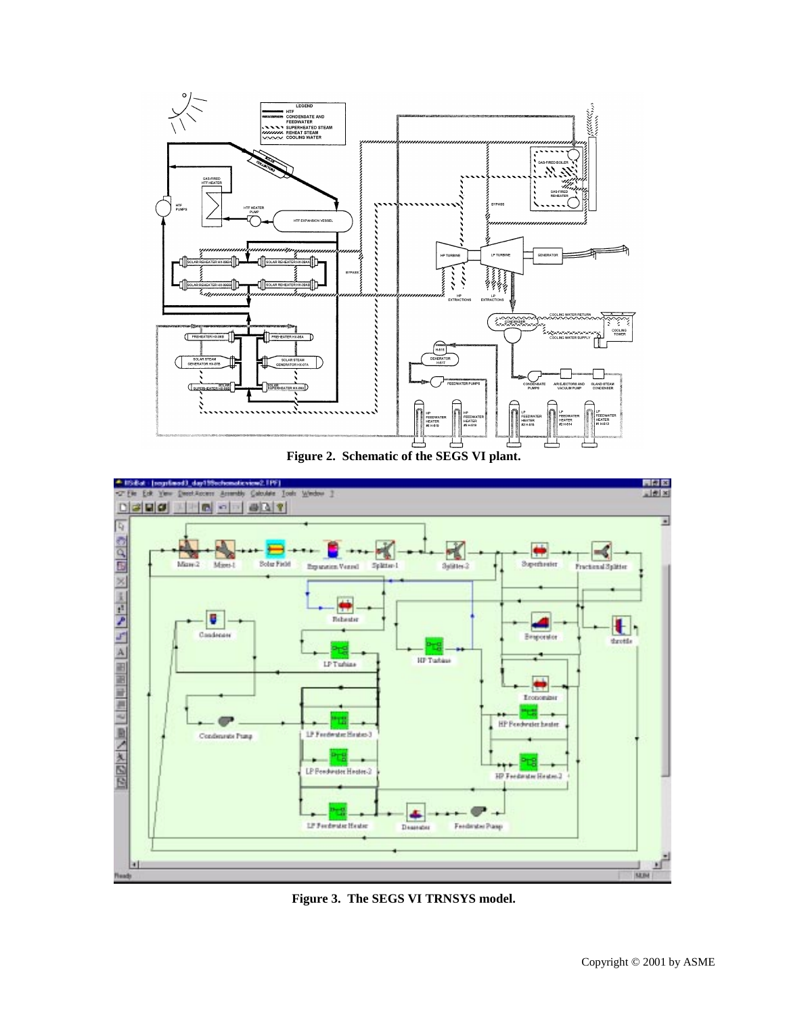

**Figure 2. Schematic of the SEGS VI plant.**



**Figure 3. The SEGS VI TRNSYS model.**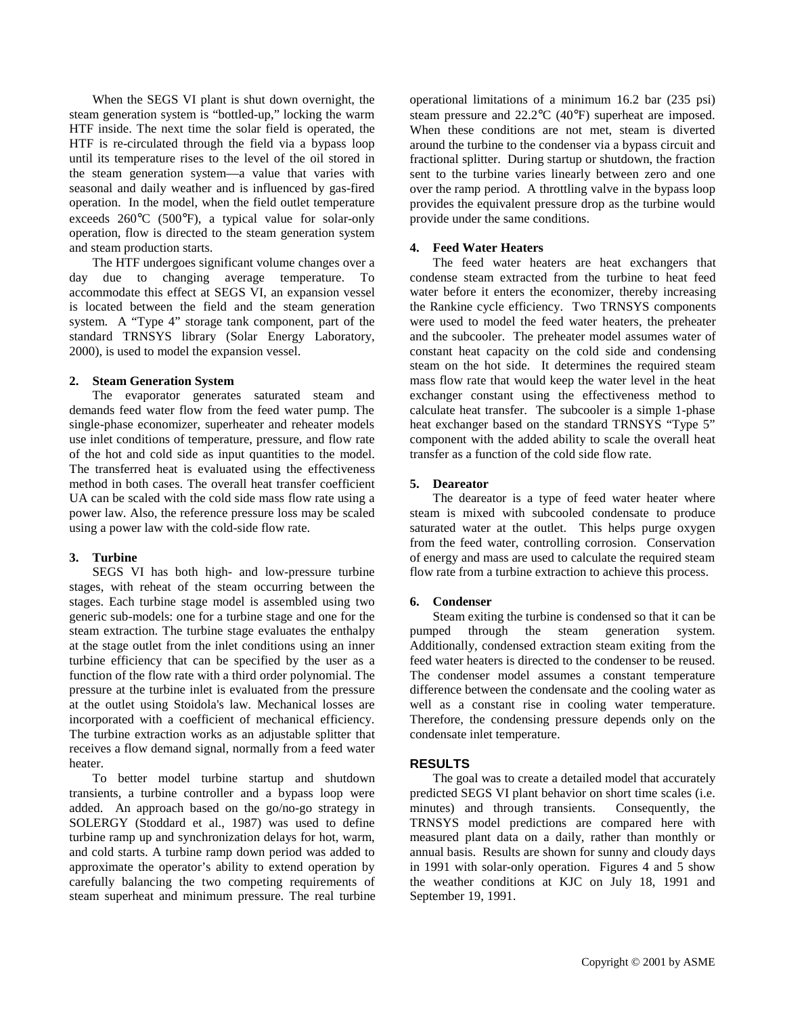When the SEGS VI plant is shut down overnight, the steam generation system is "bottled-up," locking the warm HTF inside. The next time the solar field is operated, the HTF is re-circulated through the field via a bypass loop until its temperature rises to the level of the oil stored in the steam generation system—a value that varies with seasonal and daily weather and is influenced by gas-fired operation. In the model, when the field outlet temperature exceeds 260°C (500°F), a typical value for solar-only operation, flow is directed to the steam generation system and steam production starts.

The HTF undergoes significant volume changes over a day due to changing average temperature. To accommodate this effect at SEGS VI, an expansion vessel is located between the field and the steam generation system. A "Type 4" storage tank component, part of the standard TRNSYS library (Solar Energy Laboratory, 2000), is used to model the expansion vessel.

## **2. Steam Generation System**

The evaporator generates saturated steam and demands feed water flow from the feed water pump. The single-phase economizer, superheater and reheater models use inlet conditions of temperature, pressure, and flow rate of the hot and cold side as input quantities to the model. The transferred heat is evaluated using the effectiveness method in both cases. The overall heat transfer coefficient UA can be scaled with the cold side mass flow rate using a power law. Also, the reference pressure loss may be scaled using a power law with the cold-side flow rate.

## **3. Turbine**

SEGS VI has both high- and low-pressure turbine stages, with reheat of the steam occurring between the stages. Each turbine stage model is assembled using two generic sub-models: one for a turbine stage and one for the steam extraction. The turbine stage evaluates the enthalpy at the stage outlet from the inlet conditions using an inner turbine efficiency that can be specified by the user as a function of the flow rate with a third order polynomial. The pressure at the turbine inlet is evaluated from the pressure at the outlet using Stoidola's law. Mechanical losses are incorporated with a coefficient of mechanical efficiency. The turbine extraction works as an adjustable splitter that receives a flow demand signal, normally from a feed water heater.

To better model turbine startup and shutdown transients, a turbine controller and a bypass loop were added. An approach based on the go/no-go strategy in SOLERGY (Stoddard et al., 1987) was used to define turbine ramp up and synchronization delays for hot, warm, and cold starts. A turbine ramp down period was added to approximate the operator's ability to extend operation by carefully balancing the two competing requirements of steam superheat and minimum pressure. The real turbine operational limitations of a minimum 16.2 bar (235 psi) steam pressure and 22.2°C (40°F) superheat are imposed. When these conditions are not met, steam is diverted around the turbine to the condenser via a bypass circuit and fractional splitter. During startup or shutdown, the fraction sent to the turbine varies linearly between zero and one over the ramp period. A throttling valve in the bypass loop provides the equivalent pressure drop as the turbine would provide under the same conditions.

## **4. Feed Water Heaters**

The feed water heaters are heat exchangers that condense steam extracted from the turbine to heat feed water before it enters the economizer, thereby increasing the Rankine cycle efficiency. Two TRNSYS components were used to model the feed water heaters, the preheater and the subcooler. The preheater model assumes water of constant heat capacity on the cold side and condensing steam on the hot side. It determines the required steam mass flow rate that would keep the water level in the heat exchanger constant using the effectiveness method to calculate heat transfer. The subcooler is a simple 1-phase heat exchanger based on the standard TRNSYS "Type 5" component with the added ability to scale the overall heat transfer as a function of the cold side flow rate.

## **5. Deareator**

The deareator is a type of feed water heater where steam is mixed with subcooled condensate to produce saturated water at the outlet. This helps purge oxygen from the feed water, controlling corrosion. Conservation of energy and mass are used to calculate the required steam flow rate from a turbine extraction to achieve this process.

# **6. Condenser**

Steam exiting the turbine is condensed so that it can be pumped through the steam generation system. Additionally, condensed extraction steam exiting from the feed water heaters is directed to the condenser to be reused. The condenser model assumes a constant temperature difference between the condensate and the cooling water as well as a constant rise in cooling water temperature. Therefore, the condensing pressure depends only on the condensate inlet temperature.

# **RESULTS**

The goal was to create a detailed model that accurately predicted SEGS VI plant behavior on short time scales (i.e. minutes) and through transients. Consequently, the TRNSYS model predictions are compared here with measured plant data on a daily, rather than monthly or annual basis. Results are shown for sunny and cloudy days in 1991 with solar-only operation. Figures 4 and 5 show the weather conditions at KJC on July 18, 1991 and September 19, 1991.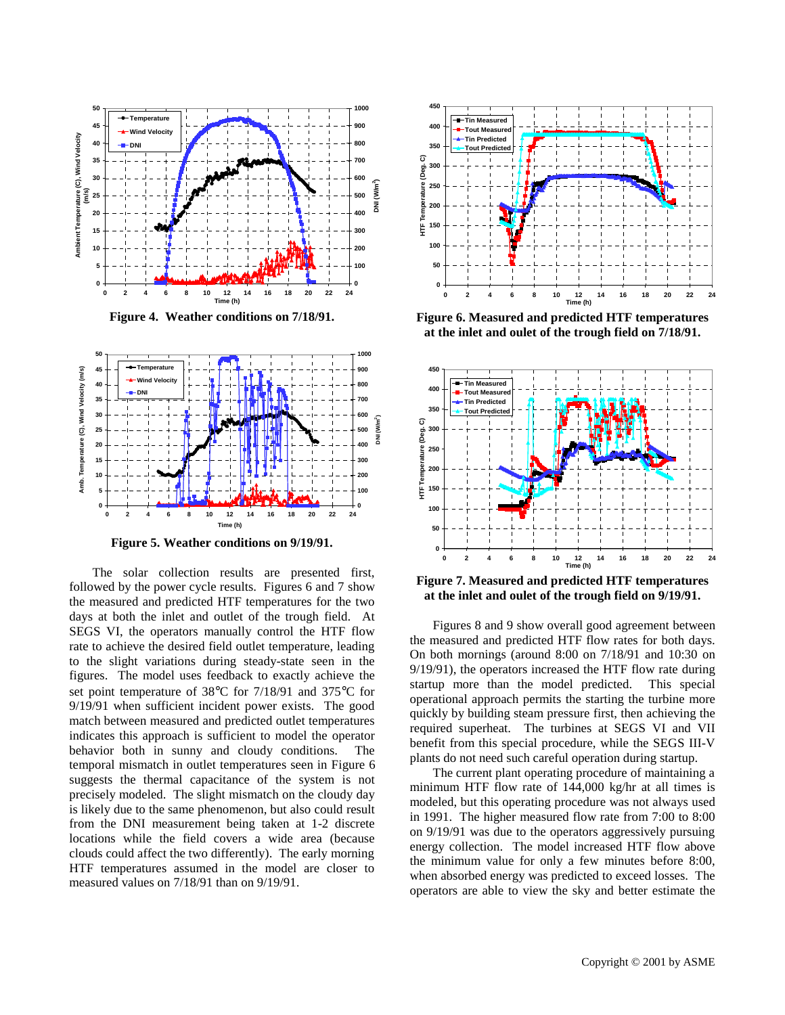

**Figure 4. Weather conditions on 7/18/91.**



**Figure 5. Weather conditions on 9/19/91.**

The solar collection results are presented first, followed by the power cycle results. Figures 6 and 7 show the measured and predicted HTF temperatures for the two days at both the inlet and outlet of the trough field. At SEGS VI, the operators manually control the HTF flow rate to achieve the desired field outlet temperature, leading to the slight variations during steady-state seen in the figures. The model uses feedback to exactly achieve the set point temperature of 38°C for 7/18/91 and 375°C for 9/19/91 when sufficient incident power exists. The good match between measured and predicted outlet temperatures indicates this approach is sufficient to model the operator behavior both in sunny and cloudy conditions. The temporal mismatch in outlet temperatures seen in Figure 6 suggests the thermal capacitance of the system is not precisely modeled. The slight mismatch on the cloudy day is likely due to the same phenomenon, but also could result from the DNI measurement being taken at 1-2 discrete locations while the field covers a wide area (because clouds could affect the two differently). The early morning HTF temperatures assumed in the model are closer to measured values on 7/18/91 than on 9/19/91.



**Figure 6. Measured and predicted HTF temperatures at the inlet and oulet of the trough field on 7/18/91.**



**Figure 7. Measured and predicted HTF temperatures at the inlet and oulet of the trough field on 9/19/91.**

Figures 8 and 9 show overall good agreement between the measured and predicted HTF flow rates for both days. On both mornings (around 8:00 on 7/18/91 and 10:30 on 9/19/91), the operators increased the HTF flow rate during startup more than the model predicted. This special operational approach permits the starting the turbine more quickly by building steam pressure first, then achieving the required superheat. The turbines at SEGS VI and VII benefit from this special procedure, while the SEGS III-V plants do not need such careful operation during startup.

The current plant operating procedure of maintaining a minimum HTF flow rate of 144,000 kg/hr at all times is modeled, but this operating procedure was not always used in 1991. The higher measured flow rate from 7:00 to 8:00 on 9/19/91 was due to the operators aggressively pursuing energy collection. The model increased HTF flow above the minimum value for only a few minutes before 8:00, when absorbed energy was predicted to exceed losses. The operators are able to view the sky and better estimate the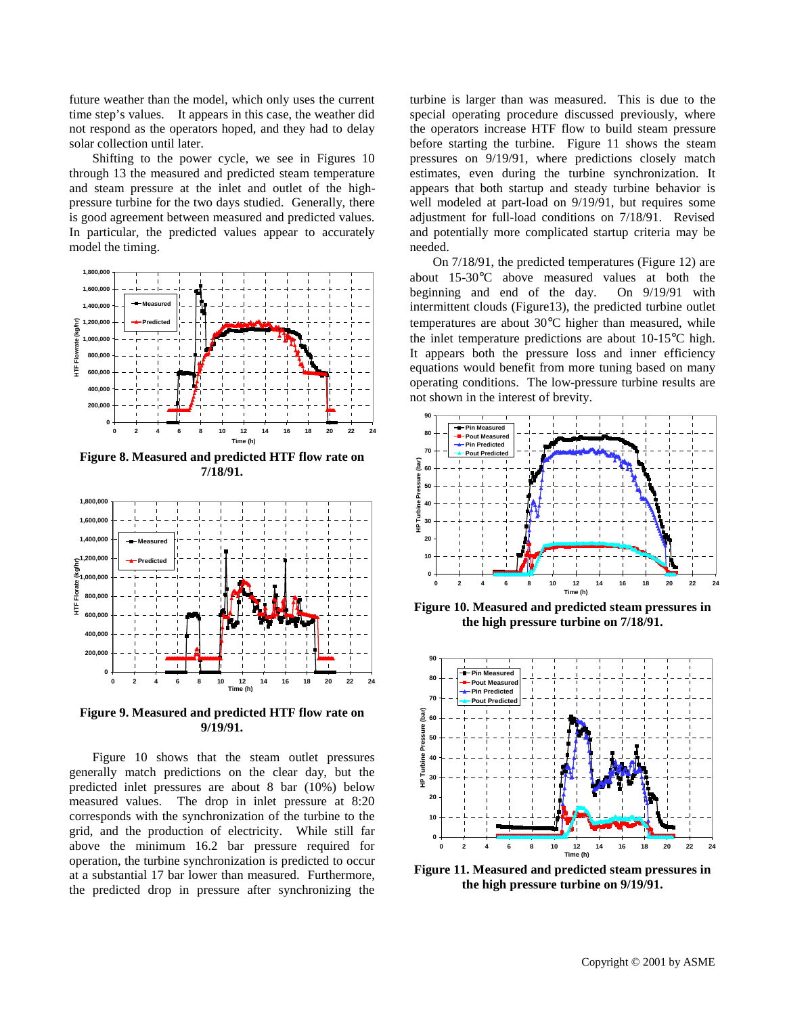future weather than the model, which only uses the current time step's values. It appears in this case, the weather did not respond as the operators hoped, and they had to delay solar collection until later.

Shifting to the power cycle, we see in Figures 10 through 13 the measured and predicted steam temperature and steam pressure at the inlet and outlet of the highpressure turbine for the two days studied. Generally, there is good agreement between measured and predicted values. In particular, the predicted values appear to accurately model the timing.



**Figure 8. Measured and predicted HTF flow rate on 7/18/91.**



**Figure 9. Measured and predicted HTF flow rate on 9/19/91.**

Figure 10 shows that the steam outlet pressures generally match predictions on the clear day, but the predicted inlet pressures are about 8 bar (10%) below measured values. The drop in inlet pressure at 8:20 corresponds with the synchronization of the turbine to the grid, and the production of electricity. While still far above the minimum 16.2 bar pressure required for operation, the turbine synchronization is predicted to occur at a substantial 17 bar lower than measured. Furthermore, the predicted drop in pressure after synchronizing the

turbine is larger than was measured. This is due to the special operating procedure discussed previously, where the operators increase HTF flow to build steam pressure before starting the turbine. Figure 11 shows the steam pressures on 9/19/91, where predictions closely match estimates, even during the turbine synchronization. It appears that both startup and steady turbine behavior is well modeled at part-load on 9/19/91, but requires some adjustment for full-load conditions on 7/18/91. Revised and potentially more complicated startup criteria may be needed.

On 7/18/91, the predicted temperatures (Figure 12) are about 15-30°C above measured values at both the beginning and end of the day. On 9/19/91 with intermittent clouds (Figure13), the predicted turbine outlet temperatures are about 30°C higher than measured, while the inlet temperature predictions are about 10-15°C high. It appears both the pressure loss and inner efficiency equations would benefit from more tuning based on many operating conditions. The low-pressure turbine results are not shown in the interest of brevity.



**Figure 10. Measured and predicted steam pressures in the high pressure turbine on 7/18/91.**



**Figure 11. Measured and predicted steam pressures in the high pressure turbine on 9/19/91.**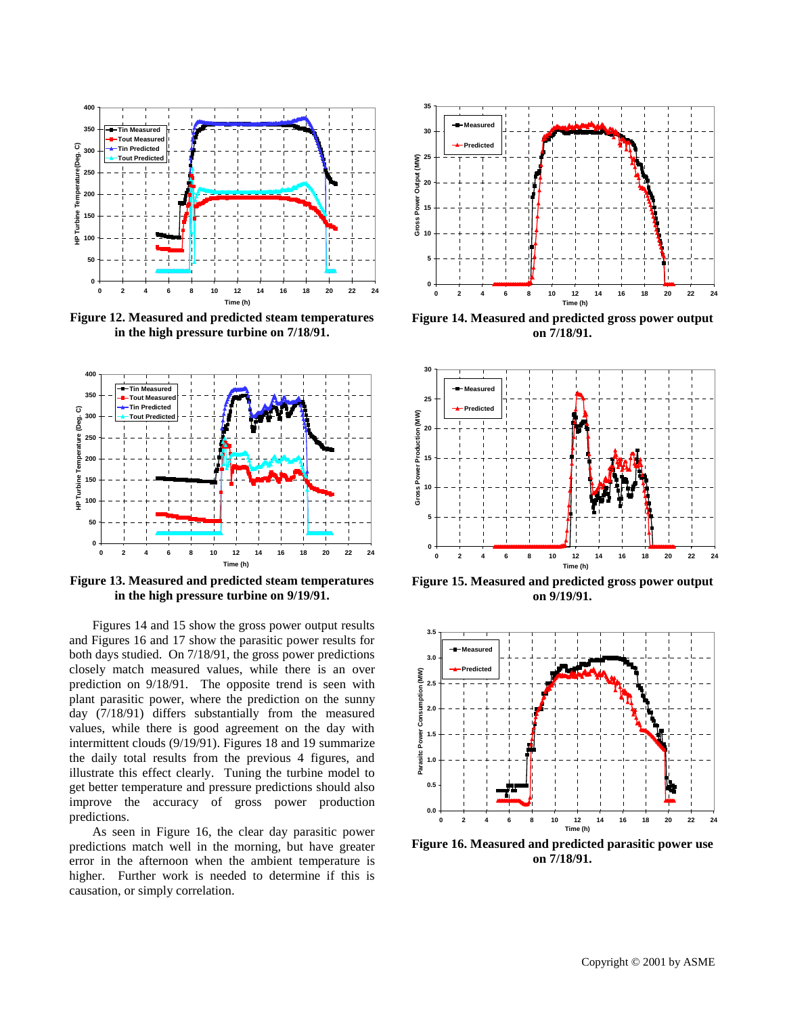

**Figure 12. Measured and predicted steam temperatures in the high pressure turbine on 7/18/91.**



**Figure 13. Measured and predicted steam temperatures in the high pressure turbine on 9/19/91.**

Figures 14 and 15 show the gross power output results and Figures 16 and 17 show the parasitic power results for both days studied. On 7/18/91, the gross power predictions closely match measured values, while there is an over prediction on 9/18/91. The opposite trend is seen with plant parasitic power, where the prediction on the sunny day (7/18/91) differs substantially from the measured values, while there is good agreement on the day with intermittent clouds (9/19/91). Figures 18 and 19 summarize the daily total results from the previous 4 figures, and illustrate this effect clearly. Tuning the turbine model to get better temperature and pressure predictions should also improve the accuracy of gross power production predictions.

As seen in Figure 16, the clear day parasitic power predictions match well in the morning, but have greater error in the afternoon when the ambient temperature is higher. Further work is needed to determine if this is causation, or simply correlation.



**Figure 14. Measured and predicted gross power output on 7/18/91.**



**Figure 15. Measured and predicted gross power output on 9/19/91.**



**Figure 16. Measured and predicted parasitic power use on 7/18/91.**